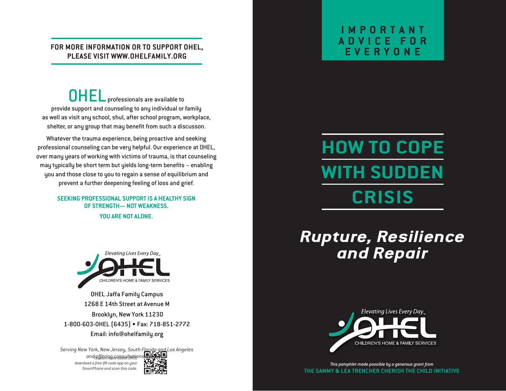#### **FOR MORE INFORMATION OR TO SUPPORT OHEL, PLEASE VISIT WWW.OHELFAMILY.ORG**

OHEL professionals are available to provide support and counseling to any individual or family as well as visit any school, shul, after school program, workplace, shelter, or any group that may benefit from such a discusson.

Whatever the trauma experience, being proactive and seeking professional counseling can be very helpful. Our experience at OHEL, over many years of working with victims of trauma, is that counseling may typically be short term but yields long-term benefits – enabling you and those close to you to regain a sense of equilibrium and prevent a further deepening feeling of loss and grief.

> **SEEKING PROFESSIONAL SUPPORT IS A HEALTHY SIGN OF STRENGTH— NOT WEAKNESS. YOU ARE NOT ALONE.**



OHEL Jaffa Family Campus 1268 E 14th Street at Avenue M Brooklyn, New York 11230 1-800-603-OHEL (6435) • Fax: 718-851-2772 Email: info@ohelfamily.org

*Serving New York, New Jersey, South Florida and Los Angeles and offering consultations worldwide To learn more about OHEL download a free QR code app on your SmartPhone and scan this code.*



### **IMPORTANT ADVICE FOR EVERYONE**

# **HOW TO COPE WITH SUDDEN CRISIS**

## *Rupture, Resilience and Repair*



*This pamphlet made possible by a generous grant from* **THE SAMMY & LEA TRENCHER CHERISH THE CHILD INITIATIVE**